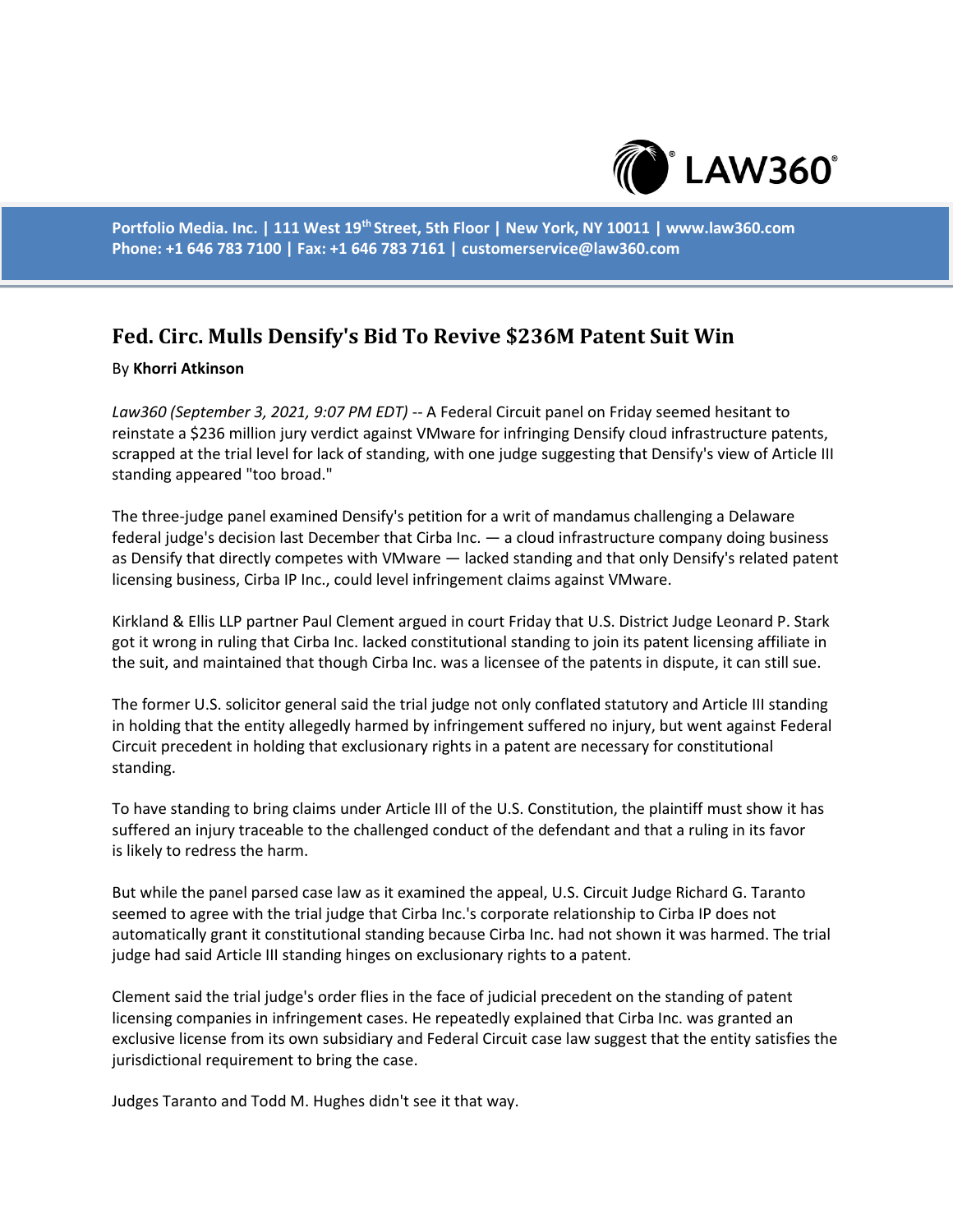

**Portfolio Media. Inc. | 111 West 19th Street, 5th Floor | New York, NY 10011 | www.law360.com Phone: +1 646 783 7100 | Fax: +1 646 783 7161 | customerservice@law360.com**

## **Fed. Circ. Mulls Densify's Bid To Revive \$236M Patent Suit Win**

## By **Khorri Atkinson**

*Law360 (September 3, 2021, 9:07 PM EDT)* -- A Federal Circuit panel on Friday seemed hesitant to reinstate a \$236 million jury verdict against VMware for infringing Densify cloud infrastructure patents, scrapped at the trial level for lack of standing, with one judge suggesting that Densify's view of Article III standing appeared "too broad."

The three-judge panel examined Densify's petition for a writ of mandamus challenging a Delaware federal judge's decision last December that Cirba Inc. — a cloud infrastructure company doing business as Densify that directly competes with VMware — lacked standing and that only Densify's related patent licensing business, Cirba IP Inc., could level infringement claims against VMware.

Kirkland & Ellis LLP partner Paul Clement argued in court Friday that U.S. District Judge Leonard P. Stark got it wrong in ruling that Cirba Inc. lacked constitutional standing to join its patent licensing affiliate in the suit, and maintained that though Cirba Inc. was a licensee of the patents in dispute, it can still sue.

The former U.S. solicitor general said the trial judge not only conflated statutory and Article III standing in holding that the entity allegedly harmed by infringement suffered no injury, but went against Federal Circuit precedent in holding that exclusionary rights in a patent are necessary for constitutional standing.

To have standing to bring claims under Article III of the U.S. Constitution, the plaintiff must show it has suffered an injury traceable to the challenged conduct of the defendant and that a ruling in its favor is likely to redress the harm.

But while the panel parsed case law as it examined the appeal, U.S. Circuit Judge Richard G. Taranto seemed to agree with the trial judge that Cirba Inc.'s corporate relationship to Cirba IP does not automatically grant it constitutional standing because Cirba Inc. had not shown it was harmed. The trial judge had said Article III standing hinges on exclusionary rights to a patent.

Clement said the trial judge's order flies in the face of judicial precedent on the standing of patent licensing companies in infringement cases. He repeatedly explained that Cirba Inc. was granted an exclusive license from its own subsidiary and Federal Circuit case law suggest that the entity satisfies the jurisdictional requirement to bring the case.

Judges Taranto and Todd M. Hughes didn't see it that way.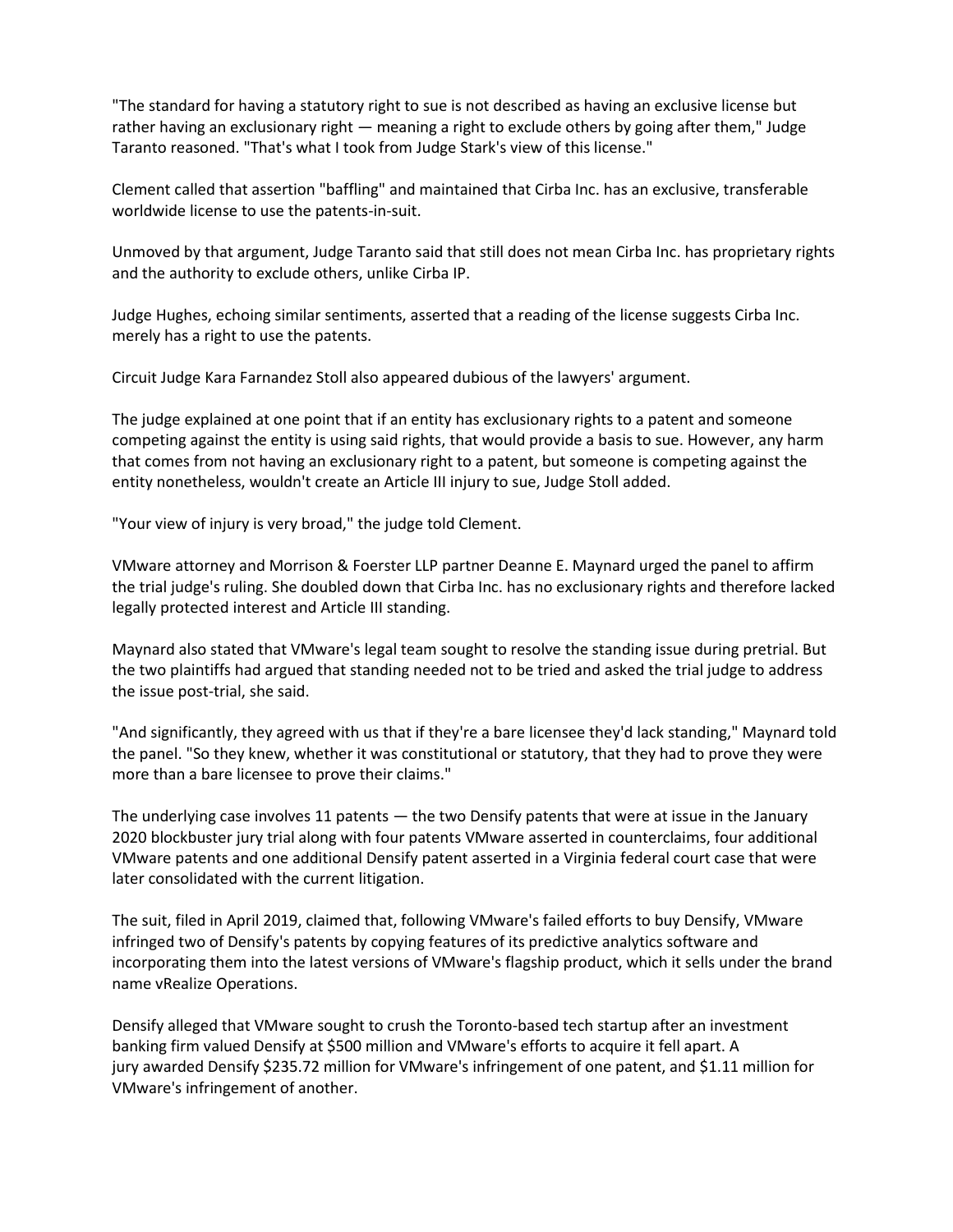"The standard for having a statutory right to sue is not described as having an exclusive license but rather having an exclusionary right — meaning a right to exclude others by going after them," Judge Taranto reasoned. "That's what I took from Judge Stark's view of this license."

Clement called that assertion "baffling" and maintained that Cirba Inc. has an exclusive, transferable worldwide license to use the patents-in-suit.

Unmoved by that argument, Judge Taranto said that still does not mean Cirba Inc. has proprietary rights and the authority to exclude others, unlike Cirba IP.

Judge Hughes, echoing similar sentiments, asserted that a reading of the license suggests Cirba Inc. merely has a right to use the patents.

Circuit Judge Kara Farnandez Stoll also appeared dubious of the lawyers' argument.

The judge explained at one point that if an entity has exclusionary rights to a patent and someone competing against the entity is using said rights, that would provide a basis to sue. However, any harm that comes from not having an exclusionary right to a patent, but someone is competing against the entity nonetheless, wouldn't create an Article III injury to sue, Judge Stoll added.

"Your view of injury is very broad," the judge told Clement.

VMware attorney and Morrison & Foerster LLP partner Deanne E. Maynard urged the panel to affirm the trial judge's ruling. She doubled down that Cirba Inc. has no exclusionary rights and therefore lacked legally protected interest and Article III standing.

Maynard also stated that VMware's legal team sought to resolve the standing issue during pretrial. But the two plaintiffs had argued that standing needed not to be tried and asked the trial judge to address the issue post-trial, she said.

"And significantly, they agreed with us that if they're a bare licensee they'd lack standing," Maynard told the panel. "So they knew, whether it was constitutional or statutory, that they had to prove they were more than a bare licensee to prove their claims."

The underlying case involves 11 patents — the two Densify patents that were at issue in the January 2020 blockbuster jury trial along with four patents VMware asserted in counterclaims, four additional VMware patents and one additional Densify patent asserted in a Virginia federal court case that were later consolidated with the current litigation.

The suit, filed in April 2019, claimed that, following VMware's failed efforts to buy Densify, VMware infringed two of Densify's patents by copying features of its predictive analytics software and incorporating them into the latest versions of VMware's flagship product, which it sells under the brand name vRealize Operations.

Densify alleged that VMware sought to crush the Toronto-based tech startup after an investment banking firm valued Densify at \$500 million and VMware's efforts to acquire it fell apart. A jury awarded Densify \$235.72 million for VMware's infringement of one patent, and \$1.11 million for VMware's infringement of another.